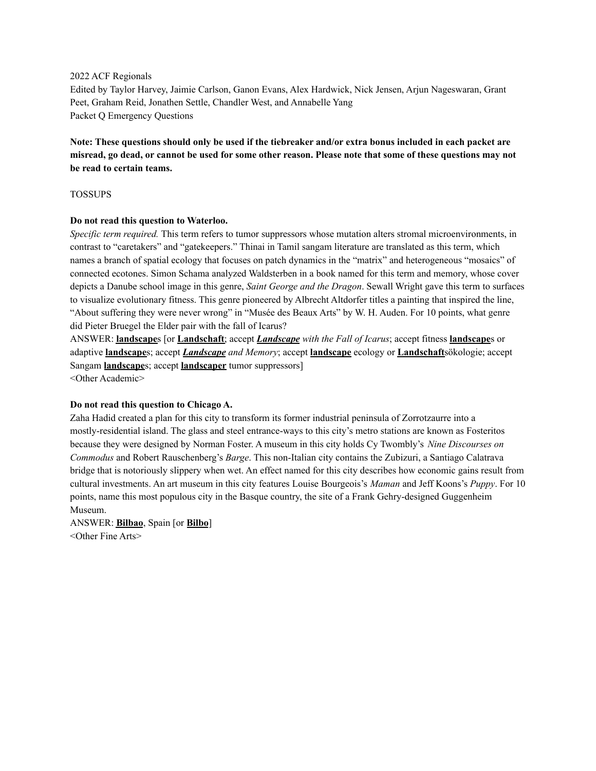#### 2022 ACF Regionals

Edited by Taylor Harvey, Jaimie Carlson, Ganon Evans, Alex Hardwick, Nick Jensen, Arjun Nageswaran, Grant Peet, Graham Reid, Jonathen Settle, Chandler West, and Annabelle Yang Packet Q Emergency Questions

Note: These questions should only be used if the tiebreaker and/or extra bonus included in each packet are misread, go dead, or cannot be used for some other reason. Please note that some of these questions may not **be read to certain teams.**

## TOSSUPS

### **Do not read this question to Waterloo.**

*Specific term required.* This term refers to tumor suppressors whose mutation alters stromal microenvironments, in contrast to "caretakers" and "gatekeepers." Thinai in Tamil sangam literature are translated as this term, which names a branch of spatial ecology that focuses on patch dynamics in the "matrix" and heterogeneous "mosaics" of connected ecotones. Simon Schama analyzed Waldsterben in a book named for this term and memory, whose cover depicts a Danube school image in this genre, *Saint George and the Dragon*. Sewall Wright gave this term to surfaces to visualize evolutionary fitness. This genre pioneered by Albrecht Altdorfer titles a painting that inspired the line, "About suffering they were never wrong" in "Musée des Beaux Arts" by W. H. Auden. For 10 points, what genre did Pieter Bruegel the Elder pair with the fall of Icarus?

ANSWER: **landscape**s [or **Landschaft**; accept *Landscape with the Fall of Icarus*; accept fitness **landscape**s or adaptive **landscape**s; accept *Landscape and Memory*; accept **landscape** ecology or **Landschaft**sökologie; accept Sangam **landscape**s; accept **landscaper** tumor suppressors]

<Other Academic>

## **Do not read this question to Chicago A.**

Zaha Hadid created a plan for this city to transform its former industrial peninsula of Zorrotzaurre into a mostly-residential island. The glass and steel entrance-ways to this city's metro stations are known as Fosteritos because they were designed by Norman Foster. A museum in this city holds Cy Twombly's *Nine Discourses on Commodus* and Robert Rauschenberg's *Barge*. This non-Italian city contains the Zubizuri, a Santiago Calatrava bridge that is notoriously slippery when wet. An effect named for this city describes how economic gains result from cultural investments. An art museum in this city features Louise Bourgeois's *Maman* and Jeff Koons's *Puppy*. For 10 points, name this most populous city in the Basque country, the site of a Frank Gehry-designed Guggenheim Museum.

ANSWER: **Bilbao**, Spain [or **Bilbo**] <Other Fine Arts>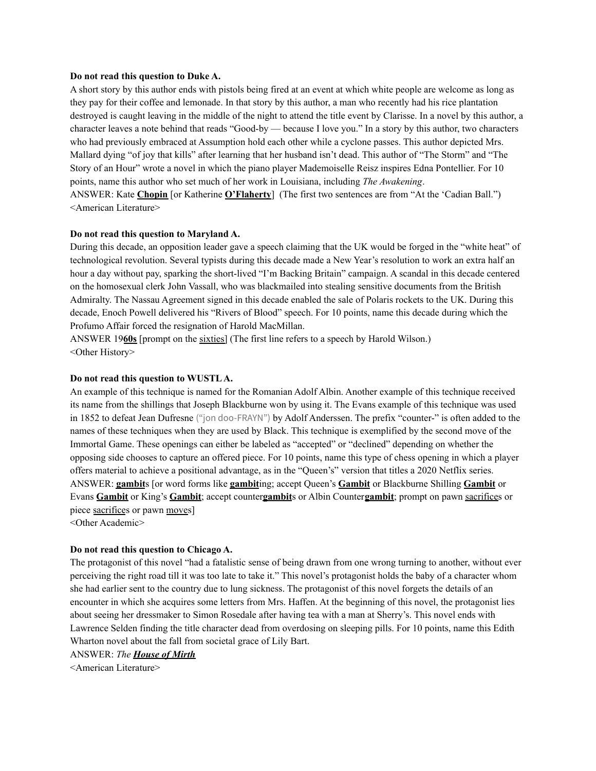#### **Do not read this question to Duke A.**

A short story by this author ends with pistols being fired at an event at which white people are welcome as long as they pay for their coffee and lemonade. In that story by this author, a man who recently had his rice plantation destroyed is caught leaving in the middle of the night to attend the title event by Clarisse. In a novel by this author, a character leaves a note behind that reads "Good-by — because I love you." In a story by this author, two characters who had previously embraced at Assumption hold each other while a cyclone passes. This author depicted Mrs. Mallard dying "of joy that kills" after learning that her husband isn't dead. This author of "The Storm" and "The Story of an Hour" wrote a novel in which the piano player Mademoiselle Reisz inspires Edna Pontellier. For 10 points, name this author who set much of her work in Louisiana, including *The Awakening*. ANSWER: Kate **Chopin** [or Katherine **O'Flaherty**] (The first two sentences are from "At the 'Cadian Ball.") <American Literature>

#### **Do not read this question to Maryland A.**

During this decade, an opposition leader gave a speech claiming that the UK would be forged in the "white heat" of technological revolution. Several typists during this decade made a New Year's resolution to work an extra half an hour a day without pay, sparking the short-lived "I'm Backing Britain" campaign. A scandal in this decade centered on the homosexual clerk John Vassall, who was blackmailed into stealing sensitive documents from the British Admiralty. The Nassau Agreement signed in this decade enabled the sale of Polaris rockets to the UK. During this decade, Enoch Powell delivered his "Rivers of Blood" speech. For 10 points, name this decade during which the Profumo Affair forced the resignation of Harold MacMillan.

ANSWER 19**60s** [prompt on the sixties] (The first line refers to a speech by Harold Wilson.) <Other History>

#### **Do not read this question to WUSTLA.**

An example of this technique is named for the Romanian Adolf Albin. Another example of this technique received its name from the shillings that Joseph Blackburne won by using it. The Evans example of this technique was used in 1852 to defeat Jean Dufresne ("jon doo-FRAYN") by Adolf Anderssen. The prefix "counter-" is often added to the names of these techniques when they are used by Black. This technique is exemplified by the second move of the Immortal Game. These openings can either be labeled as "accepted" or "declined" depending on whether the opposing side chooses to capture an offered piece. For 10 points, name this type of chess opening in which a player offers material to achieve a positional advantage, as in the "Queen's" version that titles a 2020 Netflix series. ANSWER: **gambit**s [or word forms like **gambit**ing; accept Queen's **Gambit** or Blackburne Shilling **Gambit** or Evans **Gambit** or King's **Gambit**; accept counter**gambit**s or Albin Counter**gambit**; prompt on pawn sacrifices or piece sacrifices or pawn moves]

<Other Academic>

#### **Do not read this question to Chicago A.**

The protagonist of this novel "had a fatalistic sense of being drawn from one wrong turning to another, without ever perceiving the right road till it was too late to take it." This novel's protagonist holds the baby of a character whom she had earlier sent to the country due to lung sickness. The protagonist of this novel forgets the details of an encounter in which she acquires some letters from Mrs. Haffen. At the beginning of this novel, the protagonist lies about seeing her dressmaker to Simon Rosedale after having tea with a man at Sherry's. This novel ends with Lawrence Selden finding the title character dead from overdosing on sleeping pills. For 10 points, name this Edith Wharton novel about the fall from societal grace of Lily Bart.

ANSWER: *The House of Mirth*

<American Literature>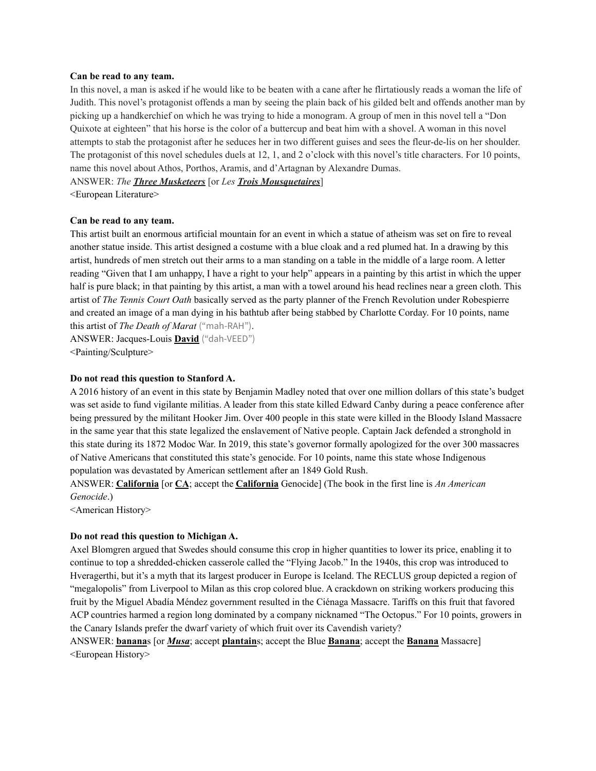#### **Can be read to any team.**

In this novel, a man is asked if he would like to be beaten with a cane after he flirtatiously reads a woman the life of Judith. This novel's protagonist offends a man by seeing the plain back of his gilded belt and offends another man by picking up a handkerchief on which he was trying to hide a monogram. A group of men in this novel tell a "Don Quixote at eighteen" that his horse is the color of a buttercup and beat him with a shovel. A woman in this novel attempts to stab the protagonist after he seduces her in two different guises and sees the fleur-de-lis on her shoulder. The protagonist of this novel schedules duels at 12, 1, and 2 o'clock with this novel's title characters. For 10 points, name this novel about Athos, Porthos, Aramis, and d'Artagnan by Alexandre Dumas.

ANSWER: *The Three Musketeers* [or *Les Trois Mousquetaires*]

<European Literature>

#### **Can be read to any team.**

This artist built an enormous artificial mountain for an event in which a statue of atheism was set on fire to reveal another statue inside. This artist designed a costume with a blue cloak and a red plumed hat. In a drawing by this artist, hundreds of men stretch out their arms to a man standing on a table in the middle of a large room. A letter reading "Given that I am unhappy, I have a right to your help" appears in a painting by this artist in which the upper half is pure black; in that painting by this artist, a man with a towel around his head reclines near a green cloth. This artist of *The Tennis Court Oath* basically served as the party planner of the French Revolution under Robespierre and created an image of a man dying in his bathtub after being stabbed by Charlotte Corday. For 10 points, name this artist of *The Death of Marat* ("mah-RAH").

ANSWER: Jacques-Louis **David** ("dah-VEED") <Painting/Sculpture>

#### **Do not read this question to Stanford A.**

A 2016 history of an event in this state by Benjamin Madley noted that over one million dollars of this state's budget was set aside to fund vigilante militias. A leader from this state killed Edward Canby during a peace conference after being pressured by the militant Hooker Jim. Over 400 people in this state were killed in the Bloody Island Massacre in the same year that this state legalized the enslavement of Native people. Captain Jack defended a stronghold in this state during its 1872 Modoc War. In 2019, this state's governor formally apologized for the over 300 massacres of Native Americans that constituted this state's genocide. For 10 points, name this state whose Indigenous population was devastated by American settlement after an 1849 Gold Rush.

ANSWER: **California** [or **CA**; accept the **California** Genocide] (The book in the first line is *An American Genocide*.)

<American History>

#### **Do not read this question to Michigan A.**

Axel Blomgren argued that Swedes should consume this crop in higher quantities to lower its price, enabling it to continue to top a shredded-chicken casserole called the "Flying Jacob." In the 1940s, this crop was introduced to Hveragerthi, but it's a myth that its largest producer in Europe is Iceland. The RECLUS group depicted a region of "megalopolis" from Liverpool to Milan as this crop colored blue. A crackdown on striking workers producing this fruit by the Miguel Abadía Méndez government resulted in the Ciénaga Massacre. Tariffs on this fruit that favored ACP countries harmed a region long dominated by a company nicknamed "The Octopus." For 10 points, growers in the Canary Islands prefer the dwarf variety of which fruit over its Cavendish variety?

ANSWER: **banana**s [or *Musa*; accept **plantain**s; accept the Blue **Banana**; accept the **Banana** Massacre] <European History>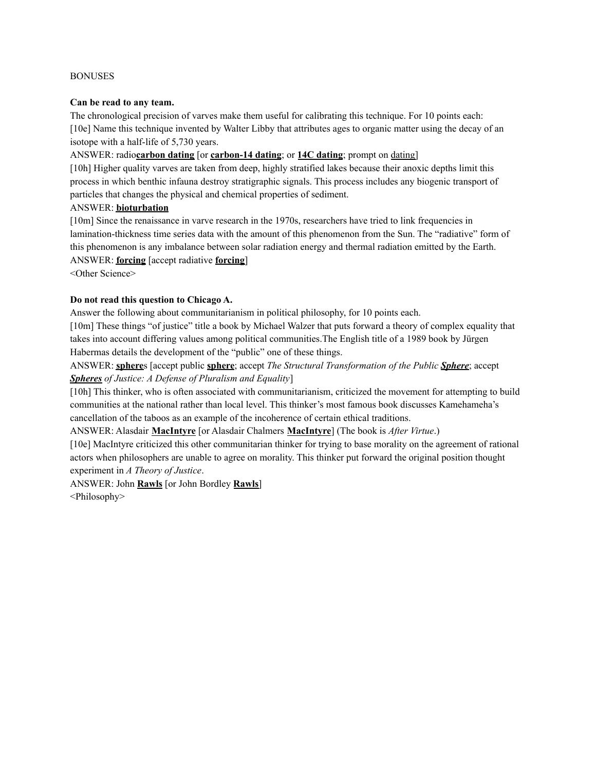### BONUSES

### **Can be read to any team.**

The chronological precision of varves make them useful for calibrating this technique. For 10 points each: [10e] Name this technique invented by Walter Libby that attributes ages to organic matter using the decay of an isotope with a half-life of 5,730 years.

# ANSWER: radio**carbon dating** [or **carbon-14 dating**; or **14C dating**; prompt on dating]

[10h] Higher quality varves are taken from deep, highly stratified lakes because their anoxic depths limit this process in which benthic infauna destroy stratigraphic signals. This process includes any biogenic transport of particles that changes the physical and chemical properties of sediment.

# ANSWER: **bioturbation**

[10m] Since the renaissance in varve research in the 1970s, researchers have tried to link frequencies in lamination-thickness time series data with the amount of this phenomenon from the Sun. The "radiative" form of this phenomenon is any imbalance between solar radiation energy and thermal radiation emitted by the Earth. ANSWER: **forcing** [accept radiative **forcing**]

<Other Science>

## **Do not read this question to Chicago A.**

Answer the following about communitarianism in political philosophy, for 10 points each.

[10m] These things "of justice" title a book by Michael Walzer that puts forward a theory of complex equality that takes into account differing values among political communities.The English title of a 1989 book by Jürgen Habermas details the development of the "public" one of these things.

ANSWER: **sphere**s [accept public **sphere**; accept *The Structural Transformation of the Public Sphere*; accept *Spheres of Justice: A Defense of Pluralism and Equality*]

[10h] This thinker, who is often associated with communitarianism, criticized the movement for attempting to build communities at the national rather than local level. This thinker's most famous book discusses Kamehameha's cancellation of the taboos as an example of the incoherence of certain ethical traditions.

ANSWER: Alasdair **MacIntyre** [or Alasdair Chalmers **MacIntyre**] (The book is *After Virtue*.)

[10e] MacIntyre criticized this other communitarian thinker for trying to base morality on the agreement of rational actors when philosophers are unable to agree on morality. This thinker put forward the original position thought experiment in *A Theory of Justice*.

ANSWER: John **Rawls** [or John Bordley **Rawls**] <Philosophy>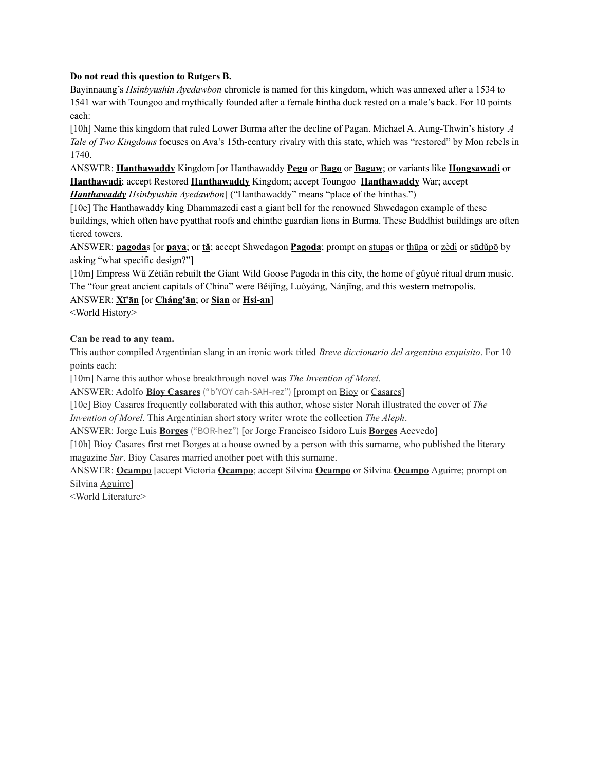# **Do not read this question to Rutgers B.**

Bayinnaung's *Hsinbyushin Ayedawbon* chronicle is named for this kingdom, which was annexed after a 1534 to 1541 war with Toungoo and mythically founded after a female hintha duck rested on a male's back. For 10 points each:

[10h] Name this kingdom that ruled Lower Burma after the decline of Pagan. Michael A. Aung-Thwin's history *A Tale of Two Kingdoms* focuses on Ava's 15th-century rivalry with this state, which was "restored" by Mon rebels in 1740.

ANSWER: **Hanthawaddy** Kingdom [or Hanthawaddy **Pegu** or **Bago** or **Bagaw**; or variants like **Hongsawadi** or **Hanthawadi**; accept Restored **Hanthawaddy** Kingdom; accept Toungoo–**Hanthawaddy** War; accept

*Hanthawaddy Hsinbyushin Ayedawbon*] ("Hanthawaddy" means "place of the hinthas.")

[10e] The Hanthawaddy king Dhammazedi cast a giant bell for the renowned Shwedagon example of these buildings, which often have pyatthat roofs and chinthe guardian lions in Burma. These Buddhist buildings are often tiered towers.

ANSWER: **pagoda**s [or **paya**; or **tǎ**; accept Shwedagon **Pagoda**; prompt on stupas or thūpa or zèdì or sūdǔpō by asking "what specific design?"]

[10m] Empress Wǔ Zétiān rebuilt the Giant Wild Goose Pagoda in this city, the home of gǔyuè ritual drum music. The "four great ancient capitals of China" were Běijīng, Luòyáng, Nánjīng, and this western metropolis.

# ANSWER: **Xī'ān** [or **Cháng'ān**; or **Sian** or **Hsi-an**]

<World History>

# **Can be read to any team.**

This author compiled Argentinian slang in an ironic work titled *Breve diccionario del argentino exquisito*. For 10 points each:

[10m] Name this author whose breakthrough novel was *The Invention of Morel*.

ANSWER: Adolfo **Bioy Casares** ("b'YOY cah-SAH-rez") [prompt on Bioy or Casares]

[10e] Bioy Casares frequently collaborated with this author, whose sister Norah illustrated the cover of *The Invention of Morel*. This Argentinian short story writer wrote the collection *The Aleph*.

ANSWER: Jorge Luis **Borges** ("BOR-hez") [or Jorge Francisco Isidoro Luis **Borges** Acevedo]

[10h] Bioy Casares first met Borges at a house owned by a person with this surname, who published the literary magazine *Sur*. Bioy Casares married another poet with this surname.

ANSWER: **Ocampo** [accept Victoria **Ocampo**; accept Silvina **Ocampo** or Silvina **Ocampo** Aguirre; prompt on Silvina Aguirre]

<World Literature>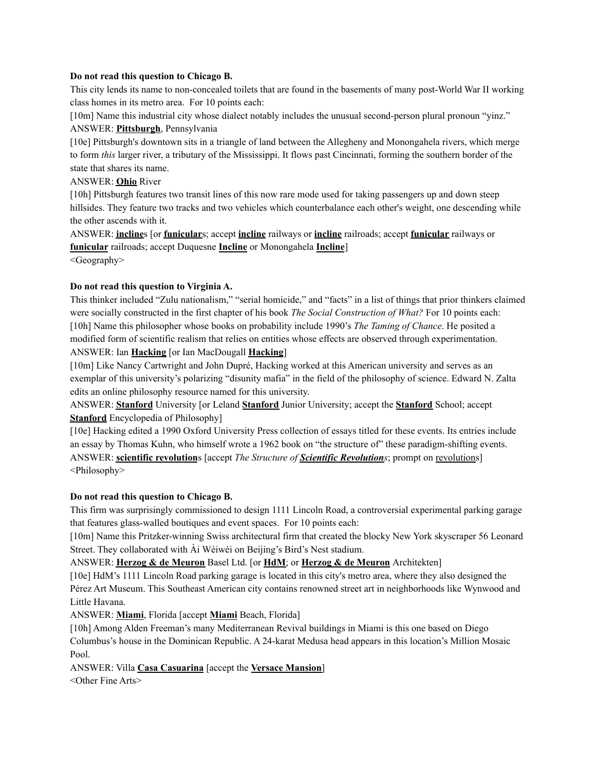## **Do not read this question to Chicago B.**

This city lends its name to non-concealed toilets that are found in the basements of many post-World War II working class homes in its metro area. For 10 points each:

[10m] Name this industrial city whose dialect notably includes the unusual second-person plural pronoun "yinz." ANSWER: **Pittsburgh**, Pennsylvania

[10e] Pittsburgh's downtown sits in a triangle of land between the Allegheny and Monongahela rivers, which merge to form *this* larger river, a tributary of the Mississippi. It flows past Cincinnati, forming the southern border of the state that shares its name.

# ANSWER: **Ohio** River

[10h] Pittsburgh features two transit lines of this now rare mode used for taking passengers up and down steep hillsides. They feature two tracks and two vehicles which counterbalance each other's weight, one descending while the other ascends with it.

ANSWER: **incline**s [or **funicular**s; accept **incline** railways or **incline** railroads; accept **funicular** railways or **funicular** railroads; accept Duquesne **Incline** or Monongahela **Incline**]

<Geography>

# **Do not read this question to Virginia A.**

This thinker included "Zulu nationalism," "serial homicide," and "facts" in a list of things that prior thinkers claimed were socially constructed in the first chapter of his book *The Social Construction of What?* For 10 points each: [10h] Name this philosopher whose books on probability include 1990's *The Taming of Chance*. He posited a modified form of scientific realism that relies on entities whose effects are observed through experimentation. ANSWER: Ian **Hacking** [or Ian MacDougall **Hacking**]

[10m] Like Nancy Cartwright and John Dupré, Hacking worked at this American university and serves as an exemplar of this university's polarizing "disunity mafia" in the field of the philosophy of science. Edward N. Zalta edits an online philosophy resource named for this university.

ANSWER: **Stanford** University [or Leland **Stanford** Junior University; accept the **Stanford** School; accept **Stanford** Encyclopedia of Philosophy]

[10e] Hacking edited a 1990 Oxford University Press collection of essays titled for these events. Its entries include an essay by Thomas Kuhn, who himself wrote a 1962 book on "the structure of" these paradigm-shifting events. ANSWER: **scientific revolution**s [accept *The Structure of Scientific Revolutions*; prompt on revolutions] <Philosophy>

# **Do not read this question to Chicago B.**

This firm was surprisingly commissioned to design 1111 Lincoln Road, a controversial experimental parking garage that features glass-walled boutiques and event spaces. For 10 points each:

[10m] Name this Pritzker-winning Swiss architectural firm that created the blocky New York skyscraper 56 Leonard Street. They collaborated with Ài Wèiwèi on Beijing's Bird's Nest stadium.

ANSWER: **Herzog & de Meuron** Basel Ltd. [or **HdM**; or **Herzog & de Meuron** Architekten]

[10e] HdM's 1111 Lincoln Road parking garage is located in this city's metro area, where they also designed the Pérez Art Museum. This Southeast American city contains renowned street art in neighborhoods like Wynwood and Little Havana.

ANSWER: **Miami**, Florida [accept **Miami** Beach, Florida]

[10h] Among Alden Freeman's many Mediterranean Revival buildings in Miami is this one based on Diego Columbus's house in the Dominican Republic. A 24-karat Medusa head appears in this location's Million Mosaic Pool.

ANSWER: Villa **Casa Casuarina** [accept the **Versace Mansion**] <Other Fine Arts>